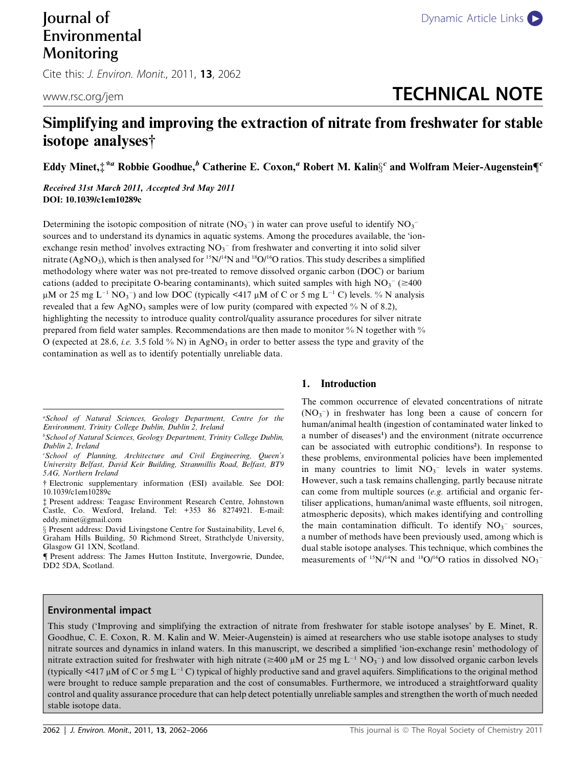# Environmental Monitoring

Cite this: J. Environ. Monit., 2011, 13, 2062

## www.rsc.org/jem and the control of the control of the control of the control of the control of the control of the control of the control of the control of the control of the control of the control of the control of the con

### Simplifying and improving the extraction of nitrate from freshwater for stable isotope analyses†

Eddy Minet, $\ddagger^{*a}$  Robbie Goodhue, $^b$  Catherine E. Coxon, $^a$  Robert M. Kalin $\S^c$  and Wolfram Meier-Augenstein¶  $^c$ 

Received 31st March 2011, Accepted 3rd May 2011 DOI: 10.1039/c1em10289c

Determining the isotopic composition of nitrate  $(NO<sub>3</sub><sup>-</sup>)$  in water can prove useful to identify  $NO<sub>3</sub>$ sources and to understand its dynamics in aquatic systems. Among the procedures available, the 'ionexchange resin method' involves extracting  $NO<sub>3</sub><sup>-</sup>$  from freshwater and converting it into solid silver nitrate (AgNO<sub>3</sub>), which is then analysed for  $15N/14N$  and  $18O/16O$  ratios. This study describes a simplified methodology where water was not pre-treated to remove dissolved organic carbon (DOC) or barium cations (added to precipitate O-bearing contaminants), which suited samples with high  $NO<sub>3</sub><sup>-</sup>$  ( $\geq$ 400  $\mu$ M or 25 mg L<sup>-1</sup> NO<sub>3</sub><sup>-</sup>) and low DOC (typically <417  $\mu$ M of C or 5 mg L<sup>-1</sup> C) levels. % N analysis revealed that a few AgNO<sub>3</sub> samples were of low purity (compared with expected  $\%$  N of 8.2), highlighting the necessity to introduce quality control/quality assurance procedures for silver nitrate prepared from field water samples. Recommendations are then made to monitor % N together with % O (expected at 28.6, *i.e.* 3.5 fold % N) in AgNO<sub>3</sub> in order to better assess the type and gravity of the contamination as well as to identify potentially unreliable data.

#### 1. Introduction

The common occurrence of elevated concentrations of nitrate  $(NO<sub>3</sub><sup>-</sup>)$  in freshwater has long been a cause of concern for human/animal health (ingestion of contaminated water linked to a number of diseases<sup>1</sup>) and the environment (nitrate occurrence can be associated with eutrophic conditions<sup>2</sup>). In response to these problems, environmental policies have been implemented in many countries to limit  $NO<sub>3</sub><sup>-</sup>$  levels in water systems. However, such a task remains challenging, partly because nitrate can come from multiple sources (e.g. artificial and organic fertiliser applications, human/animal waste effluents, soil nitrogen, atmospheric deposits), which makes identifying and controlling the main contamination difficult. To identify  $NO<sub>3</sub><sup>-</sup>$  sources, a number of methods have been previously used, among which is dual stable isotope analyses. This technique, which combines the measurements of  $^{15}N/^{14}N$  and  $^{18}O/^{16}O$  ratios in dissolved  $NO_3^-$ 

#### Environmental impact

This study ('Improving and simplifying the extraction of nitrate from freshwater for stable isotope analyses' by E. Minet, R. Goodhue, C. E. Coxon, R. M. Kalin and W. Meier-Augenstein) is aimed at researchers who use stable isotope analyses to study nitrate sources and dynamics in inland waters. In this manuscript, we described a simplified 'ion-exchange resin' methodology of nitrate extraction suited for freshwater with high nitrate ( $\geq 400 \mu M$  or 25 mg L<sup>-1</sup> NO<sub>3</sub><sup>-</sup>) and low dissolved organic carbon levels (typically <417  $\mu$ M of C or 5 mg L<sup>-1</sup> C) typical of highly productive sand and gravel aquifers. Simplifications to the original method were brought to reduce sample preparation and the cost of consumables. Furthermore, we introduced a straightforward quality control and quality assurance procedure that can help detect potentially unreliable samples and strengthen the worth of much needed stable isotope data.

a School of Natural Sciences, Geology Department, Centre for the Environment, Trinity College Dublin, Dublin 2, Ireland

b School of Natural Sciences, Geology Department, Trinity College Dublin, Dublin 2, Ireland

c School of Planning, Architecture and Civil Engineering, Queen's University Belfast, David Keir Building, Stranmillis Road, Belfast, BT9 5AG, Northern Ireland

<sup>†</sup> Electronic supplementary information (ESI) available. See DOI: 10.1039/c1em10289c

<sup>‡</sup> Present address: Teagasc Environment Research Centre, Johnstown Castle, Co. Wexford, Ireland. Tel: +353 86 8274921. E-mail: eddy.minet@gmail.com

x Present address: David Livingstone Centre for Sustainability, Level 6, Graham Hills Building, 50 Richmond Street, Strathclyde University, Glasgow G1 1XN, Scotland.

<sup>{</sup> Present address: The James Hutton Institute, Invergowrie, Dundee, DD2 5DA, Scotland.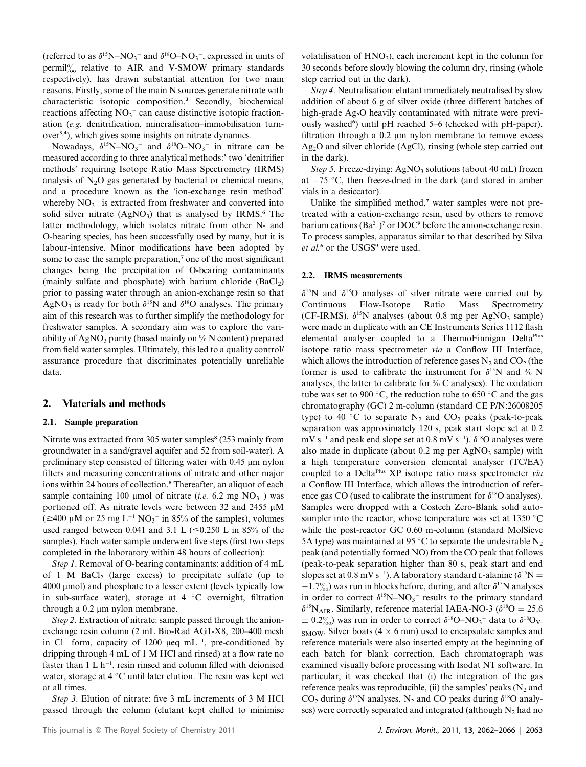(referred to as  $\delta^{15}N - NO_3^-$  and  $\delta^{18}O - NO_3^-$ , expressed in units of permil $\%$  relative to AIR and V-SMOW primary standards respectively), has drawn substantial attention for two main reasons. Firstly, some of the main N sources generate nitrate with characteristic isotopic composition.<sup>3</sup> Secondly, biochemical reactions affecting  $NO_3^-$  can cause distinctive isotopic fractionation (e.g. denitrification, mineralisation–immobilisation turnover3,4), which gives some insights on nitrate dynamics.

Nowadays,  $\delta^{15}N-NO_3^-$  and  $\delta^{18}O-NO_3^-$  in nitrate can be measured according to three analytical methods:<sup>5</sup> two 'denitrifier methods' requiring Isotope Ratio Mass Spectrometry (IRMS) analysis of  $N_2O$  gas generated by bacterial or chemical means, and a procedure known as the 'ion-exchange resin method' whereby  $NO_3^-$  is extracted from freshwater and converted into solid silver nitrate  $(AgNO_3)$  that is analysed by IRMS.<sup>6</sup> The latter methodology, which isolates nitrate from other N- and O-bearing species, has been successfully used by many, but it is labour-intensive. Minor modifications have been adopted by some to ease the sample preparation,<sup>7</sup> one of the most significant changes being the precipitation of O-bearing contaminants (mainly sulfate and phosphate) with barium chloride  $(BaCl<sub>2</sub>)$ prior to passing water through an anion-exchange resin so that AgNO<sub>3</sub> is ready for both  $\delta^{15}N$  and  $\delta^{18}O$  analyses. The primary aim of this research was to further simplify the methodology for freshwater samples. A secondary aim was to explore the variability of AgNO<sub>3</sub> purity (based mainly on  $\%$  N content) prepared from field water samples. Ultimately, this led to a quality control/ assurance procedure that discriminates potentially unreliable data.

#### 2. Materials and methods

#### 2.1. Sample preparation

Nitrate was extracted from 305 water samples<sup>8</sup> (253 mainly from groundwater in a sand/gravel aquifer and 52 from soil-water). A preliminary step consisted of filtering water with  $0.45 \mu m$  nylon filters and measuring concentrations of nitrate and other major ions within 24 hours of collection.<sup>8</sup> Thereafter, an aliquot of each sample containing 100 µmol of nitrate (*i.e.* 6.2 mg  $NO<sub>3</sub><sup>-</sup>$ ) was portioned off. As nitrate levels were between 32 and 2455  $\mu$ M  $(\geq 400 \,\mu\text{M}$  or 25 mg L<sup>-1</sup> NO<sub>3</sub><sup>-</sup> in 85% of the samples), volumes used ranged between 0.041 and 3.1 L  $(\leq 0.250$  L in 85% of the samples). Each water sample underwent five steps (first two steps completed in the laboratory within 48 hours of collection):

Step 1. Removal of O-bearing contaminants: addition of 4 mL of 1 M BaCl<sub>2</sub> (large excess) to precipitate sulfate (up to 4000 mmol) and phosphate to a lesser extent (levels typically low in sub-surface water), storage at  $4 \degree C$  overnight, filtration through a 0.2 µm nylon membrane.

Step 2. Extraction of nitrate: sample passed through the anionexchange resin column (2 mL Bio-Rad AG1-X8, 200–400 mesh in Cl<sup>-</sup> form, capacity of 1200  $\mu$ eq mL<sup>-1</sup>, pre-conditioned by dripping through 4 mL of 1 M HCl and rinsed) at a flow rate no faster than  $1 L h^{-1}$ , resin rinsed and column filled with deionised water, storage at  $4 \degree C$  until later elution. The resin was kept wet at all times.

Step 3. Elution of nitrate: five 3 mL increments of 3 M HCl passed through the column (elutant kept chilled to minimise volatilisation of  $HNO<sub>3</sub>$ ), each increment kept in the column for 30 seconds before slowly blowing the column dry, rinsing (whole step carried out in the dark).

Step 4. Neutralisation: elutant immediately neutralised by slow addition of about 6 g of silver oxide (three different batches of high-grade Ag<sub>2</sub>O heavily contaminated with nitrate were previously washed<sup>6</sup>) until pH reached 5-6 (checked with pH-paper), filtration through a  $0.2 \mu$  m nylon membrane to remove excess Ag2O and silver chloride (AgCl), rinsing (whole step carried out in the dark).

Step 5. Freeze-drying:  $AgNO_3$  solutions (about 40 mL) frozen at  $-75$  °C, then freeze-dried in the dark (and stored in amber vials in a desiccator).

Unlike the simplified method,<sup>7</sup> water samples were not pretreated with a cation-exchange resin, used by others to remove barium cations  $(Ba^{2+})^7$  or DOC<sup>9</sup> before the anion-exchange resin. To process samples, apparatus similar to that described by Silva et al.<sup>6</sup> or the USGS<sup>9</sup> were used.

#### 2.2. IRMS measurements

 $\delta^{15}N$  and  $\delta^{18}O$  analyses of silver nitrate were carried out by Continuous Flow-Isotope Ratio Mass Spectrometry (CF-IRMS).  $\delta^{15}N$  analyses (about 0.8 mg per AgNO<sub>3</sub> sample) were made in duplicate with an CE Instruments Series 1112 flash elemental analyser coupled to a ThermoFinnigan Delta<sup>Plus</sup> isotope ratio mass spectrometer via a Conflow III Interface, which allows the introduction of reference gases  $N_2$  and  $CO_2$  (the former is used to calibrate the instrument for  $\delta^{15}N$  and % N analyses, the latter to calibrate for % C analyses). The oxidation tube was set to 900 °C, the reduction tube to 650 °C and the gas chromatography (GC) 2 m-column (standard CE P/N:26008205 type) to 40 °C to separate  $N_2$  and  $CO_2$  peaks (peak-to-peak separation was approximately 120 s, peak start slope set at 0.2  $mV s^{-1}$  and peak end slope set at 0.8 mV s<sup>-1</sup>).  $\delta^{18}O$  analyses were also made in duplicate (about  $0.2$  mg per AgNO<sub>3</sub> sample) with a high temperature conversion elemental analyser (TC/EA) coupled to a Delta<sup>Plus</sup> XP isotope ratio mass spectrometer via a Conflow III Interface, which allows the introduction of reference gas CO (used to calibrate the instrument for  $\delta^{18}$ O analyses). Samples were dropped with a Costech Zero-Blank solid autosampler into the reactor, whose temperature was set at  $1350^{\circ}$ C while the post-reactor GC 0.60 m-column (standard MolSieve 5A type) was maintained at 95 °C to separate the undesirable  $N_2$ peak (and potentially formed NO) from the CO peak that follows (peak-to-peak separation higher than 80 s, peak start and end slopes set at 0.8 mV s<sup>-1</sup>). A laboratory standard L-alanine ( $\delta^{15}N =$  $-1.7\%$ ) was run in blocks before, during, and after  $\delta^{15}N$  analyses in order to correct  $\delta^{15}N-NO_3$ <sup>-</sup> results to the primary standard  $\delta^{15}$ N<sub>AIR</sub>. Similarly, reference material IAEA-NO-3 ( $\delta^{18}$ O = 25.6)  $\pm$  0.2%) was run in order to correct  $\delta^{18}O-NO_3$ <sup>-</sup> data to  $\delta^{18}O_V$ . smow. Silver boats ( $4 \times 6$  mm) used to encapsulate samples and reference materials were also inserted empty at the beginning of each batch for blank correction. Each chromatograph was examined visually before processing with Isodat NT software. In particular, it was checked that (i) the integration of the gas reference peaks was reproducible, (ii) the samples' peaks  $(N_2$  and  $CO<sub>2</sub>$  during  $\delta^{15}N$  analyses, N<sub>2</sub> and CO peaks during  $\delta^{18}O$  analyses) were correctly separated and integrated (although  $N_2$  had no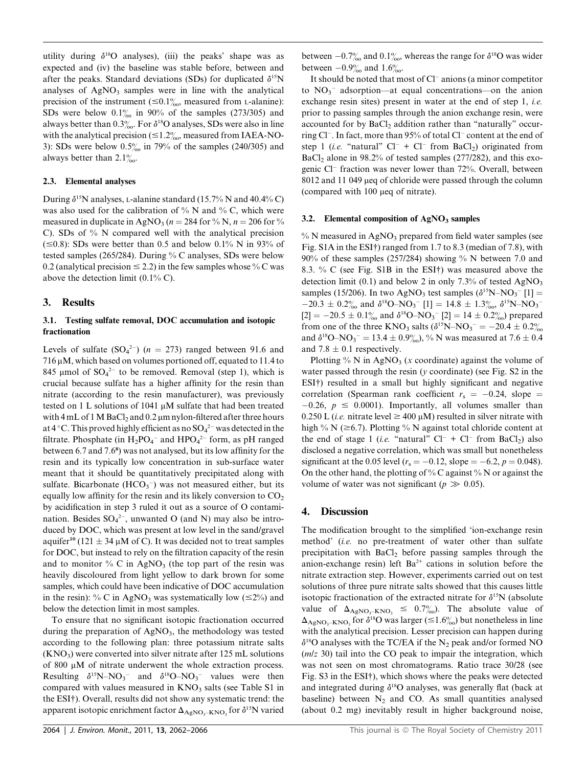utility during  $\delta^{18}$ O analyses), (iii) the peaks' shape was as expected and (iv) the baseline was stable before, between and after the peaks. Standard deviations (SDs) for duplicated  $\delta^{15}N$ analyses of  $AgNO<sub>3</sub>$  samples were in line with the analytical precision of the instrument ( $\leq 0.1\%$ , measured from L-alanine): SDs were below  $0.1\%$  in 90% of the samples (273/305) and always better than 0.3%. For  $\delta^{18}$ O analyses, SDs were also in line with the analytical precision ( $\leq 1.2\%$ , measured from IAEA-NO-3): SDs were below  $0.5\%$  in 79% of the samples (240/305) and always better than  $2.1\%$ .

#### 2.3. Elemental analyses

During  $\delta^{15}$ N analyses, L-alanine standard (15.7% N and 40.4% C) was also used for the calibration of  $\%$  N and  $\%$  C, which were measured in duplicate in AgNO<sub>3</sub> ( $n = 284$  for % N,  $n = 206$  for % C). SDs of % N compared well with the analytical precision  $(\leq 0.8)$ : SDs were better than 0.5 and below 0.1% N in 93% of tested samples (265/284). During % C analyses, SDs were below 0.2 (analytical precision  $\leq$  2.2) in the few samples whose % C was above the detection limit (0.1% C).

#### 3. Results

#### 3.1. Testing sulfate removal, DOC accumulation and isotopic fractionation

Levels of sulfate  $(SO_4^{2-})$   $(n = 273)$  ranged between 91.6 and  $716 \mu$ M, which based on volumes portioned off, equated to 11.4 to 845 µmol of  $SO_4^2$  to be removed. Removal (step 1), which is crucial because sulfate has a higher affinity for the resin than nitrate (according to the resin manufacturer), was previously tested on 1 L solutions of 1041  $\mu$ M sulfate that had been treated with 4 mL of 1 M BaCl<sub>2</sub> and 0.2  $\mu$ m nylon-filtered after three hours at 4 °C. This proved highly efficient as no  $\mathrm{SO_4}^{2-}$  was detected in the filtrate. Phosphate (in  $H_2PO_4^-$  and  $HPO_4^{2-}$  form, as pH ranged between 6.7 and 7.6<sup>8</sup> ) was not analysed, but its low affinity for the resin and its typically low concentration in sub-surface water meant that it should be quantitatively precipitated along with sulfate. Bicarbonate  $(HCO_3^-)$  was not measured either, but its equally low affinity for the resin and its likely conversion to  $CO<sub>2</sub>$ by acidification in step 3 ruled it out as a source of O contamination. Besides  $SO_4^2$ , unwanted O (and N) may also be introduced by DOC, which was present at low level in the sand/gravel aquifer<sup>10</sup> (121  $\pm$  34 µM of C). It was decided not to treat samples for DOC, but instead to rely on the filtration capacity of the resin and to monitor  $\%$  C in AgNO<sub>3</sub> (the top part of the resin was heavily discoloured from light yellow to dark brown for some samples, which could have been indicative of DOC accumulation in the resin): % C in AgNO<sub>3</sub> was systematically low ( $\leq 2\%$ ) and below the detection limit in most samples.

To ensure that no significant isotopic fractionation occurred during the preparation of  $AgNO<sub>3</sub>$ , the methodology was tested according to the following plan: three potassium nitrate salts  $(KNO<sub>3</sub>)$  were converted into silver nitrate after 125 mL solutions of 800 µM of nitrate underwent the whole extraction process. Resulting  $\delta^{15}N-NO_3^-$  and  $\delta^{18}O-NO_3^-$  values were then compared with values measured in  $KNO<sub>3</sub>$  salts (see Table S1 in the ESI†). Overall, results did not show any systematic trend: the apparent isotopic enrichment factor  $\Delta_{\rm AgNO_3-KNO_3}$  for  $\delta^{15}N$  varied between  $-0.7\%$  and  $0.1\%$ , whereas the range for  $\delta^{18}$ O was wider between  $-0.9\%$  and 1.6‰.

It should be noted that most of Cl<sup>-</sup> anions (a minor competitor to  $NO<sub>3</sub>$ <sup>-</sup> adsorption—at equal concentrations—on the anion exchange resin sites) present in water at the end of step 1, *i.e.* prior to passing samples through the anion exchange resin, were accounted for by  $BaCl<sub>2</sub>$  addition rather than "naturally" occurring Cl<sup>-</sup>. In fact, more than 95% of total Cl<sup>-</sup> content at the end of step 1 (*i.e.* "natural"  $Cl^- + Cl^-$  from BaCl<sub>2</sub>) originated from  $BaCl<sub>2</sub>$  alone in 98.2% of tested samples (277/282), and this exogenic Cl- fraction was never lower than 72%. Overall, between 8012 and 11 049 µeq of chloride were passed through the column (compared with  $100 \mu$ eq of nitrate).

#### 3.2. Elemental composition of  $AgNO<sub>3</sub>$  samples

 $%$  N measured in AgNO<sub>3</sub> prepared from field water samples (see Fig. S1A in the ESI†) ranged from 1.7 to 8.3 (median of 7.8), with  $90\%$  of these samples (257/284) showing % N between 7.0 and 8.3. % C (see Fig. S1B in the ESI†) was measured above the detection limit (0.1) and below 2 in only 7.3% of tested  $AgNO_3$ samples (15/206). In two AgNO<sub>3</sub> test samples ( $\delta^{15}N-NO_3$ <sup>-</sup>[1] =  $-20.3 \pm 0.2\%$  and  $\delta^{18}O-NO_3$ <sup>-</sup> [1] = 14.8  $\pm$  1.3\%  $\delta^{15}N-NO_3$ <sup>-</sup>  $[2] = -20.5 \pm 0.1\%$  and  $\delta^{18}O-NO_3$ <sup>-</sup>  $[2] = 14 \pm 0.2\%$  prepared from one of the three KNO<sub>3</sub> salts  $(\delta^{15}N-NO_3^- = -20.4 \pm 0.2\%$ and  $\delta^{18}O-NO_3 = 13.4 \pm 0.9\%$ , % N was measured at 7.6  $\pm$  0.4 and 7.8  $\pm$  0.1 respectively.

Plotting % N in AgNO<sub>3</sub> (x coordinate) against the volume of water passed through the resin ( $y$  coordinate) (see Fig. S2 in the ESI†) resulted in a small but highly significant and negative correlation (Spearman rank coefficient  $r_s = -0.24$ , slope =  $-0.26$ ,  $p \le 0.0001$ ). Importantly, all volumes smaller than 0.250 L (*i.e.* nitrate level  $\geq$  400  $\mu$ M) resulted in silver nitrate with high % N ( $\geq 6.7$ ). Plotting % N against total chloride content at the end of stage 1 (*i.e.* "natural"  $Cl^- + Cl^-$  from  $BaCl_2$ ) also disclosed a negative correlation, which was small but nonetheless significant at the 0.05 level ( $r_s = -0.12$ , slope  $= -6.2$ ,  $p = 0.048$ ). On the other hand, the plotting of % C against % N or against the volume of water was not significant ( $p \gg 0.05$ ).

#### 4. Discussion

The modification brought to the simplified 'ion-exchange resin method' (i.e. no pre-treatment of water other than sulfate precipitation with BaCl<sub>2</sub> before passing samples through the anion-exchange resin) left  $Ba^{2+}$  cations in solution before the nitrate extraction step. However, experiments carried out on test solutions of three pure nitrate salts showed that this causes little isotopic fractionation of the extracted nitrate for  $\delta^{15}N$  (absolute value of  $\Delta_{\rm AgNO_3-KNO_3} \leq 0.7\%$ <sub>0</sub>. The absolute value of  $\Delta_{\text{AgNO},-\text{KNO}}$  for  $\delta^{18}$ O was larger ( $\leq 1.6\%$ ) but nonetheless in line with the analytical precision. Lesser precision can happen during  $\delta^{18}$ O analyses with the TC/EA if the N<sub>2</sub> peak and/or formed NO  $(m/z 30)$  tail into the CO peak to impair the integration, which was not seen on most chromatograms. Ratio trace 30/28 (see Fig. S3 in the ESI†), which shows where the peaks were detected and integrated during  $\delta^{18}O$  analyses, was generally flat (back at baseline) between  $N_2$  and CO. As small quantities analysed (about 0.2 mg) inevitably result in higher background noise,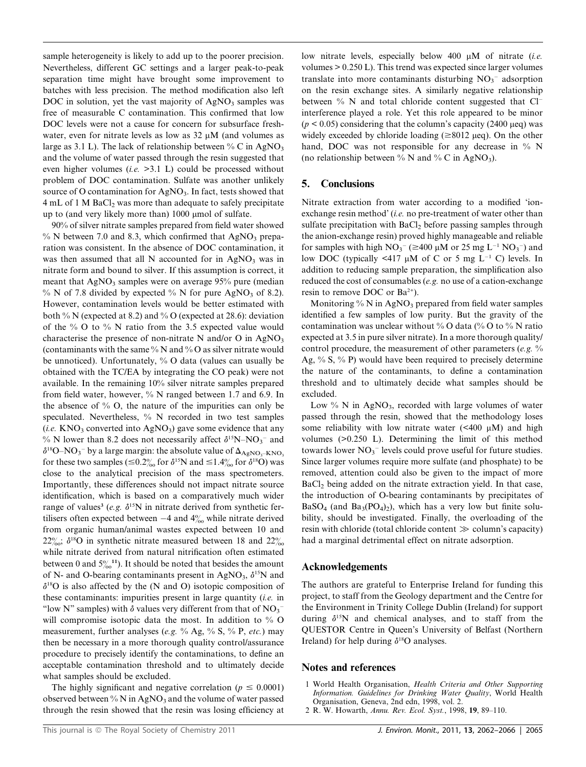sample heterogeneity is likely to add up to the poorer precision. Nevertheless, different GC settings and a larger peak-to-peak separation time might have brought some improvement to batches with less precision. The method modification also left DOC in solution, yet the vast majority of  $AgNO<sub>3</sub>$  samples was free of measurable C contamination. This confirmed that low DOC levels were not a cause for concern for subsurface freshwater, even for nitrate levels as low as 32  $\mu$ M (and volumes as large as 3.1 L). The lack of relationship between % C in  $AgNO<sub>3</sub>$ and the volume of water passed through the resin suggested that even higher volumes (*i.e.*  $>3.1$  L) could be processed without problem of DOC contamination. Sulfate was another unlikely source of O contamination for AgNO<sub>3</sub>. In fact, tests showed that  $4 \text{ mL of } 1 \text{ M BaCl}_2$  was more than adequate to safely precipitate up to (and very likely more than)  $1000 \mu$  mol of sulfate.

90% of silver nitrate samples prepared from field water showed % N between 7.0 and 8.3, which confirmed that  $AgNO_3$  preparation was consistent. In the absence of DOC contamination, it was then assumed that all N accounted for in  $AgNO<sub>3</sub>$  was in nitrate form and bound to silver. If this assumption is correct, it meant that  $AgNO_3$  samples were on average 95% pure (median % N of 7.8 divided by expected % N for pure  $AgNO<sub>3</sub>$  of 8.2). However, contamination levels would be better estimated with both % N (expected at 8.2) and % O (expected at 28.6): deviation of the  $\%$  O to  $\%$  N ratio from the 3.5 expected value would characterise the presence of non-nitrate N and/or O in AgNO<sub>3</sub> (contaminants with the same  $\%$  N and  $\%$  O as silver nitrate would be unnoticed). Unfortunately, % O data (values can usually be obtained with the TC/EA by integrating the CO peak) were not available. In the remaining 10% silver nitrate samples prepared from field water, however, % N ranged between 1.7 and 6.9. In the absence of  $\%$  O, the nature of the impurities can only be speculated. Nevertheless, % N recorded in two test samples (*i.e.* KNO<sub>3</sub> converted into AgNO<sub>3</sub>) gave some evidence that any % N lower than 8.2 does not necessarily affect  $\delta^{15}N-NO_3^-$  and  $\delta^{18}O - NO_3^-$  by a large margin: the absolute value of  $\Delta_{\rm AgNO_3-KNO_3}$ for these two samples ( $\leq 0.2\%$  for  $\delta^{15}N$  and  $\leq 1.4\%$  for  $\delta^{18}O$ ) was close to the analytical precision of the mass spectrometers. Importantly, these differences should not impact nitrate source identification, which is based on a comparatively much wider range of values<sup>3</sup> (e.g.  $\delta^{15}N$  in nitrate derived from synthetic fertilisers often expected between  $-4$  and  $4\%$  while nitrate derived from organic human/animal wastes expected between 10 and 22‰;  $\delta^{18}$ O in synthetic nitrate measured between 18 and 22‰ while nitrate derived from natural nitrification often estimated between 0 and  $5\frac{\frac{6}{11}}{100}$ . It should be noted that besides the amount of N- and O-bearing contaminants present in AgNO<sub>3</sub>,  $\delta^{15}N$  and  $\delta^{18}$ O is also affected by the (N and O) isotopic composition of these contaminants: impurities present in large quantity  $(i.e.$  in "low N" samples) with  $\delta$  values very different from that of  $NO_3^$ will compromise isotopic data the most. In addition to % O measurement, further analyses (e.g.  $\%$  Ag,  $\%$  S,  $\%$  P, etc.) may then be necessary in a more thorough quality control/assurance procedure to precisely identify the contaminations, to define an acceptable contamination threshold and to ultimately decide what samples should be excluded.

The highly significant and negative correlation ( $p \le 0.0001$ ) observed between % N in AgNO<sub>3</sub> and the volume of water passed through the resin showed that the resin was losing efficiency at

low nitrate levels, especially below  $400 \mu M$  of nitrate (*i.e.*) volumes > 0.250 L). This trend was expected since larger volumes translate into more contaminants disturbing  $NO<sub>3</sub><sup>-</sup>$  adsorption on the resin exchange sites. A similarly negative relationship between % N and total chloride content suggested that Cl<sup>-</sup> interference played a role. Yet this role appeared to be minor ( $p < 0.05$ ) considering that the column's capacity (2400 µeq) was widely exceeded by chloride loading  $(\geq 8012 \text{ u}$ eg). On the other hand, DOC was not responsible for any decrease in % N (no relationship between  $\%$  N and  $\%$  C in AgNO<sub>3</sub>).

#### 5. Conclusions

Nitrate extraction from water according to a modified 'ionexchange resin method' (i.e. no pre-treatment of water other than sulfate precipitation with  $BaCl<sub>2</sub>$  before passing samples through the anion-exchange resin) proved highly manageable and reliable for samples with high  $NO_3^-$  ( $\geq$ 400  $\mu$ M or 25 mg L<sup>-1</sup> NO<sub>3</sub><sup>-</sup>) and low DOC (typically  $\leq 417 \mu M$  of C or 5 mg L<sup>-1</sup> C) levels. In addition to reducing sample preparation, the simplification also reduced the cost of consumables (e.g. no use of a cation-exchange resin to remove DOC or  $Ba^{2+}$ ).

Monitoring  $\%$  N in AgNO<sub>3</sub> prepared from field water samples identified a few samples of low purity. But the gravity of the contamination was unclear without % O data (% O to % N ratio expected at 3.5 in pure silver nitrate). In a more thorough quality/ control procedure, the measurement of other parameters (e.g.  $\%$ Ag,  $\%$  S,  $\%$  P) would have been required to precisely determine the nature of the contaminants, to define a contamination threshold and to ultimately decide what samples should be excluded.

Low  $\%$  N in AgNO<sub>3</sub>, recorded with large volumes of water passed through the resin, showed that the methodology loses some reliability with low nitrate water  $( $400 \mu M$ )$  and high volumes (>0.250 L). Determining the limit of this method towards lower  $NO_3^-$  levels could prove useful for future studies. Since larger volumes require more sulfate (and phosphate) to be removed, attention could also be given to the impact of more BaCl2 being added on the nitrate extraction yield. In that case, the introduction of O-bearing contaminants by precipitates of  $BaSO<sub>4</sub>$  (and  $Ba<sub>3</sub>(PO<sub>4</sub>)<sub>2</sub>$ ), which has a very low but finite solubility, should be investigated. Finally, the overloading of the resin with chloride (total chloride content  $\gg$  column's capacity) had a marginal detrimental effect on nitrate adsorption.

#### Acknowledgements

The authors are grateful to Enterprise Ireland for funding this project, to staff from the Geology department and the Centre for the Environment in Trinity College Dublin (Ireland) for support during  $\delta^{15}N$  and chemical analyses, and to staff from the QUESTOR Centre in Queen's University of Belfast (Northern Ireland) for help during  $\delta^{18}$ O analyses.

#### Notes and references

- 1 World Health Organisation, Health Criteria and Other Supporting Information. Guidelines for Drinking Water Quality, World Health Organisation, Geneva, 2nd edn, 1998, vol. 2.
- 2 R. W. Howarth, Annu. Rev. Ecol. Syst., 1998, 19, 89–110.